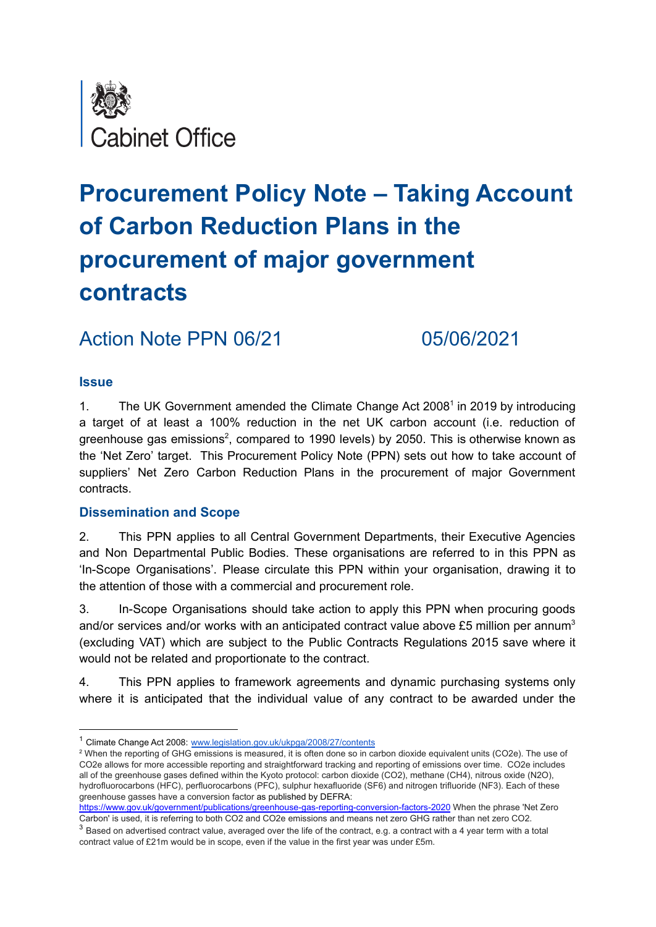

## **Procurement Policy Note – Taking Account of Carbon Reduction Plans in the procurement of major government contracts**

Action Note PPN 06/21 05/06/2021

#### **Issue**

1. The UK Government amended the Climate Change Act 2008<sup>1</sup> in 2019 by introducing a target of at least a 100% reduction in the net UK carbon account (i.e. reduction of greenhouse gas emissions<sup>2</sup>, compared to 1990 levels) by 2050. This is otherwise known as the 'Net Zero' target. This Procurement Policy Note (PPN) sets out how to take account of suppliers' Net Zero Carbon Reduction Plans in the procurement of major Government contracts.

#### **Dissemination and Scope**

2. This PPN applies to all Central Government Departments, their Executive Agencies and Non Departmental Public Bodies. These organisations are referred to in this PPN as 'In-Scope Organisations'. Please circulate this PPN within your organisation, drawing it to the attention of those with a commercial and procurement role.

3. In-Scope Organisations should take action to apply this PPN when procuring goods and/or services and/or works with an anticipated contract value above £5 million per annum<sup>3</sup> (excluding VAT) which are subject to the Public Contracts Regulations 2015 save where it would not be related and proportionate to the contract.

4. This PPN applies to framework agreements and dynamic purchasing systems only where it is anticipated that the individual value of any contract to be awarded under the

<https://www.gov.uk/government/publications/greenhouse-gas-reporting-conversion-factors-2020> When the phrase 'Net Zero Carbon' is used, it is referring to both CO2 and CO2e emissions and means net zero GHG rather than net zero CO2.

<sup>&</sup>lt;sup>1</sup> Climate Change Act 2008: [www.legislation.gov.uk/ukpga/2008/27/contents](http://www.legislation.gov.uk/ukpga/2008/27/contents)

<sup>&</sup>lt;sup>2</sup> When the reporting of GHG emissions is measured, it is often done so in carbon dioxide equivalent units (CO2e). The use of CO2e allows for more accessible reporting and straightforward tracking and reporting of emissions over time. CO2e includes all of the greenhouse gases defined within the Kyoto protocol: carbon dioxide (CO2), methane (CH4), nitrous oxide (N2O), hydrofluorocarbons (HFC), perfluorocarbons (PFC), sulphur hexafluoride (SF6) and nitrogen trifluoride (NF3). Each of these greenhouse gasses have a conversion factor as published by DEFRA:

 $3$  Based on advertised contract value, averaged over the life of the contract, e.g. a contract with a 4 year term with a total contract value of £21m would be in scope, even if the value in the first year was under £5m.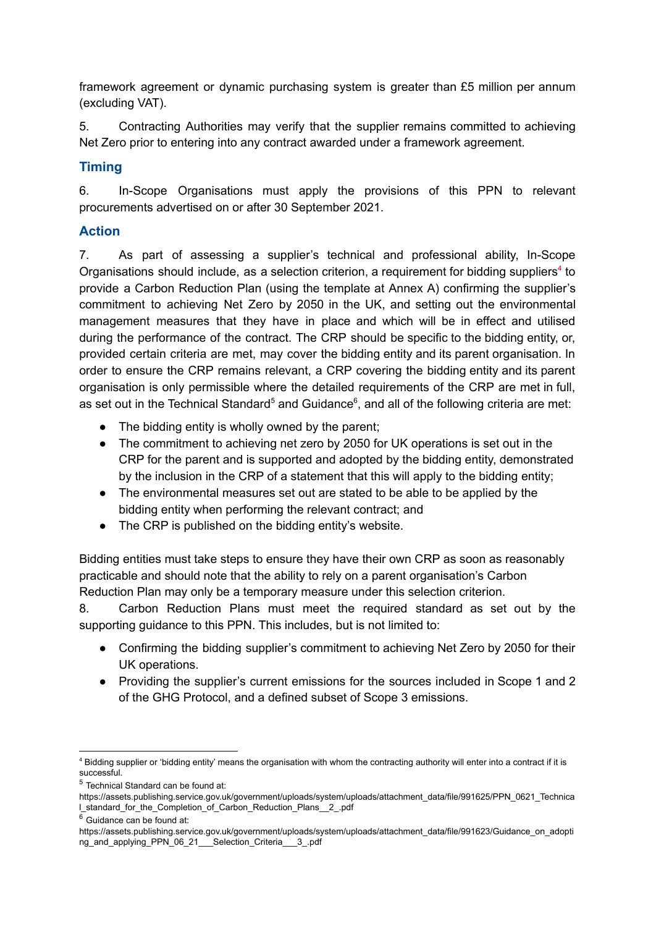framework agreement or dynamic purchasing system is greater than £5 million per annum (excluding VAT).

5. Contracting Authorities may verify that the supplier remains committed to achieving Net Zero prior to entering into any contract awarded under a framework agreement.

#### **Timing**

6. In-Scope Organisations must apply the provisions of this PPN to relevant procurements advertised on or after 30 September 2021.

#### **Action**

7. As part of assessing a supplier's technical and professional ability, In-Scope Organisations should include, as a selection criterion, a requirement for bidding suppliers<sup>4</sup> to provide a Carbon Reduction Plan (using the template at Annex A) confirming the supplier's commitment to achieving Net Zero by 2050 in the UK, and setting out the environmental management measures that they have in place and which will be in effect and utilised during the performance of the contract. The CRP should be specific to the bidding entity, or, provided certain criteria are met, may cover the bidding entity and its parent organisation. In order to ensure the CRP remains relevant, a CRP covering the bidding entity and its parent organisation is only permissible where the detailed requirements of the CRP are met in full, as set out in the Technical Standard<sup>5</sup> and Guidance<sup>6</sup>, and all of the following criteria are met:

- The bidding entity is wholly owned by the parent;
- The commitment to achieving net zero by 2050 for UK operations is set out in the CRP for the parent and is supported and adopted by the bidding entity, demonstrated by the inclusion in the CRP of a statement that this will apply to the bidding entity;
- The environmental measures set out are stated to be able to be applied by the bidding entity when performing the relevant contract; and
- The CRP is published on the bidding entity's website.

Bidding entities must take steps to ensure they have their own CRP as soon as reasonably practicable and should note that the ability to rely on a parent organisation's Carbon Reduction Plan may only be a temporary measure under this selection criterion.

8. Carbon Reduction Plans must meet the required standard as set out by the supporting guidance to this PPN. This includes, but is not limited to:

- Confirming the bidding supplier's commitment to achieving Net Zero by 2050 for their UK operations.
- Providing the supplier's current emissions for the sources included in Scope 1 and 2 of the GHG Protocol, and a defined subset of Scope 3 emissions.

<sup>5</sup> Technical Standard can be found at:

<sup>4</sup> Bidding supplier or 'bidding entity' means the organisation with whom the contracting authority will enter into a contract if it is successful.

https://assets.publishing.service.gov.uk/government/uploads/system/uploads/attachment\_data/file/991625/PPN\_0621\_Technica l\_standard\_for\_the\_Completion\_of\_Carbon\_Reduction\_Plans\_\_2\_.pdf

 $6$  Guidance can be found at:

https://assets.publishing.service.gov.uk/government/uploads/system/uploads/attachment\_data/file/991623/Guidance\_on\_adopti ng\_and\_applying\_PPN\_06\_21\_\_\_Selection\_Criteria\_\_\_3\_.pdf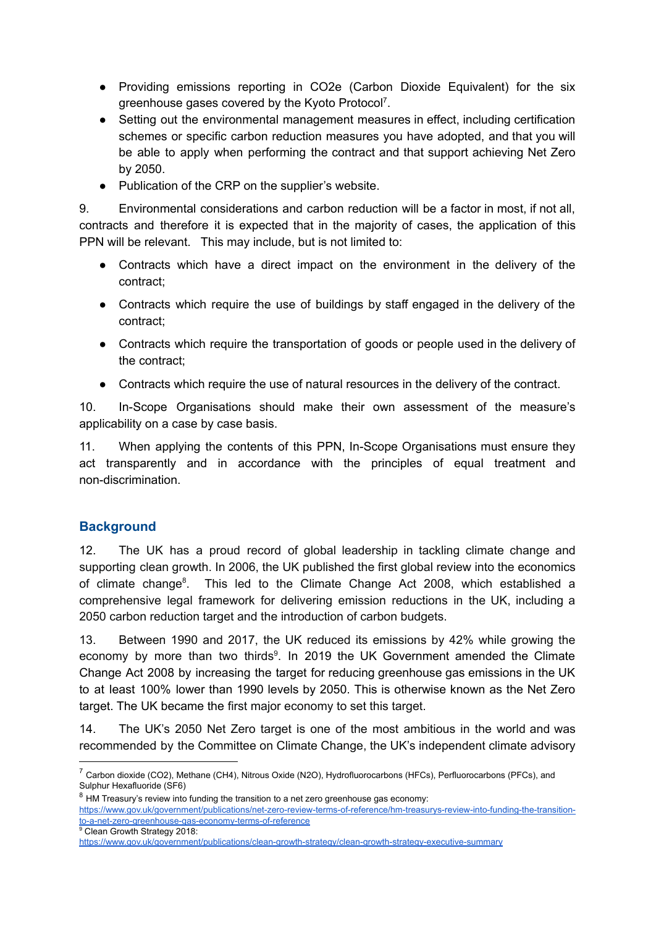- Providing emissions reporting in CO2e (Carbon Dioxide Equivalent) for the six greenhouse gases covered by the Kyoto Protocol<sup>7</sup>.
- Setting out the environmental management measures in effect, including certification schemes or specific carbon reduction measures you have adopted, and that you will be able to apply when performing the contract and that support achieving Net Zero by 2050.
- Publication of the CRP on the supplier's website.

9. Environmental considerations and carbon reduction will be a factor in most, if not all, contracts and therefore it is expected that in the majority of cases, the application of this PPN will be relevant. This may include, but is not limited to:

- Contracts which have a direct impact on the environment in the delivery of the contract;
- Contracts which require the use of buildings by staff engaged in the delivery of the contract;
- Contracts which require the transportation of goods or people used in the delivery of the contract;
- Contracts which require the use of natural resources in the delivery of the contract.

10. In-Scope Organisations should make their own assessment of the measure's applicability on a case by case basis.

11. When applying the contents of this PPN, In-Scope Organisations must ensure they act transparently and in accordance with the principles of equal treatment and non-discrimination.

#### **Background**

12. The UK has a proud record of global leadership in tackling climate change and supporting clean growth. In 2006, the UK published the first global review into the economics of climate change<sup>8</sup>. This led to the Climate Change Act 2008, which established a comprehensive legal framework for delivering emission reductions in the UK, including a 2050 carbon reduction target and the introduction of carbon budgets.

13. Between 1990 and 2017, the UK reduced its emissions by 42% while growing the economy by more than two thirds $9$ . In 2019 the UK Government amended the Climate Change Act 2008 by increasing the target for reducing greenhouse gas emissions in the UK to at least 100% lower than 1990 levels by 2050. This is otherwise known as the Net Zero target. The UK became the first major economy to set this target.

14. The UK's 2050 Net Zero target is one of the most ambitious in the world and was recommended by the Committee on Climate Change, the UK's independent climate advisory

<sup>9</sup> Clean Growth Strategy 2018:

<sup>&</sup>lt;sup>7</sup> Carbon dioxide (CO2), Methane (CH4), Nitrous Oxide (N2O), Hydrofluorocarbons (HFCs), Perfluorocarbons (PFCs), and Sulphur Hexafluoride (SF6)

 $8$  HM Treasury's review into funding the transition to a net zero greenhouse gas economy:

https://www.gov.uk/government/publications/net-zero-review-terms-of-reference/hm-treasurys-review-into-funding-the-transitionto-a-net-zero-greenhouse-gas-economy-terms-of-reference

https://www.gov.uk/government/publications/clean-growth-strategy/clean-growth-strategy-executive-summary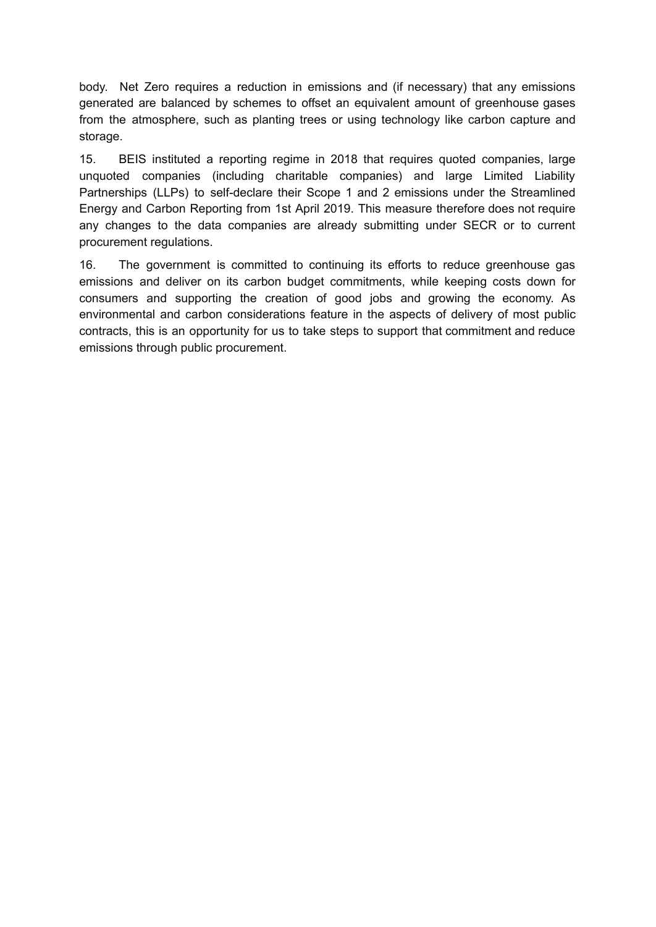body. Net Zero requires a reduction in emissions and (if necessary) that any emissions generated are balanced by schemes to offset an equivalent amount of greenhouse gases from the atmosphere, such as planting trees or using technology like carbon capture and storage.

15. BEIS instituted a reporting regime in 2018 that requires quoted companies, large unquoted companies (including charitable companies) and large Limited Liability Partnerships (LLPs) to self-declare their Scope 1 and 2 emissions under the Streamlined Energy and Carbon Reporting from 1st April 2019. This measure therefore does not require any changes to the data companies are already submitting under SECR or to current procurement regulations.

16. The government is committed to continuing its efforts to reduce greenhouse gas emissions and deliver on its carbon budget commitments, while keeping costs down for consumers and supporting the creation of good jobs and growing the economy. As environmental and carbon considerations feature in the aspects of delivery of most public contracts, this is an opportunity for us to take steps to support that commitment and reduce emissions through public procurement.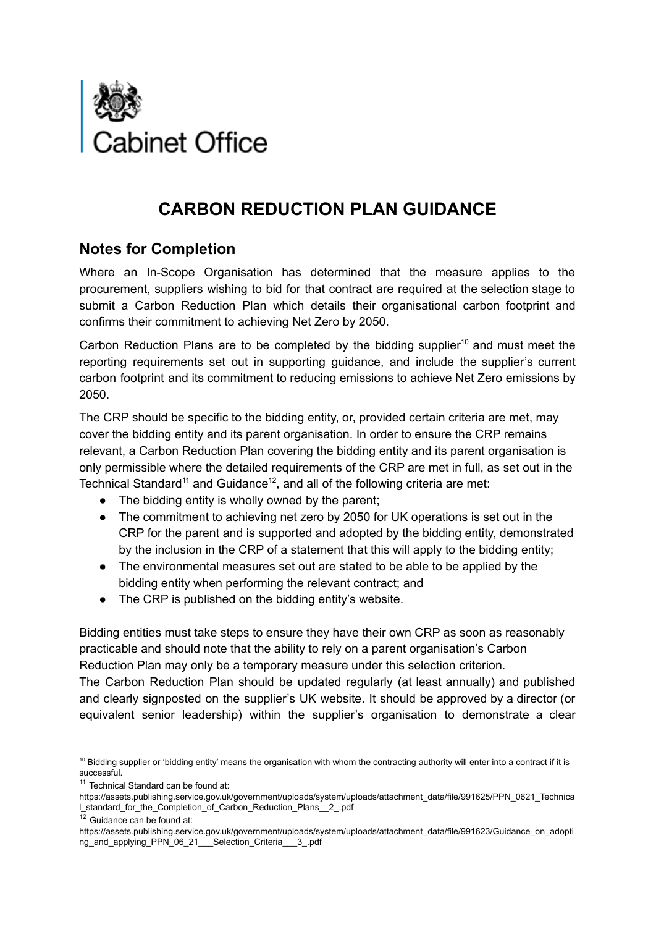

## **CARBON REDUCTION PLAN GUIDANCE**

## **Notes for Completion**

Where an In-Scope Organisation has determined that the measure applies to the procurement, suppliers wishing to bid for that contract are required at the selection stage to submit a Carbon Reduction Plan which details their organisational carbon footprint and confirms their commitment to achieving Net Zero by 2050.

Carbon Reduction Plans are to be completed by the bidding supplier<sup>10</sup> and must meet the reporting requirements set out in supporting guidance, and include the supplier's current carbon footprint and its commitment to reducing emissions to achieve Net Zero emissions by 2050.

The CRP should be specific to the bidding entity, or, provided certain criteria are met, may cover the bidding entity and its parent organisation. In order to ensure the CRP remains relevant, a Carbon Reduction Plan covering the bidding entity and its parent organisation is only permissible where the detailed requirements of the CRP are met in full, as set out in the Technical Standard<sup>11</sup> and Guidance<sup>12</sup>, and all of the following criteria are met:

- The bidding entity is wholly owned by the parent:
- The commitment to achieving net zero by 2050 for UK operations is set out in the CRP for the parent and is supported and adopted by the bidding entity, demonstrated by the inclusion in the CRP of a statement that this will apply to the bidding entity;
- The environmental measures set out are stated to be able to be applied by the bidding entity when performing the relevant contract; and
- The CRP is published on the bidding entity's website.

Bidding entities must take steps to ensure they have their own CRP as soon as reasonably practicable and should note that the ability to rely on a parent organisation's Carbon Reduction Plan may only be a temporary measure under this selection criterion.

The Carbon Reduction Plan should be updated regularly (at least annually) and published and clearly signposted on the supplier's UK website. It should be approved by a director (or equivalent senior leadership) within the supplier's organisation to demonstrate a clear

<sup>&</sup>lt;sup>10</sup> Bidding supplier or 'bidding entity' means the organisation with whom the contracting authority will enter into a contract if it is successful.

<sup>&</sup>lt;sup>11</sup> Technical Standard can be found at:

https://assets.publishing.service.gov.uk/government/uploads/system/uploads/attachment\_data/file/991625/PPN\_0621\_Technica l\_standard\_for\_the\_Completion\_of\_Carbon\_Reduction\_Plans\_\_2\_.pdf

 $\overline{12}$  Guidance can be found at:

https://assets.publishing.service.gov.uk/government/uploads/system/uploads/attachment\_data/file/991623/Guidance\_on\_adopti ng\_and\_applying\_PPN\_06\_21\_\_\_Selection\_Criteria\_\_\_3\_.pdf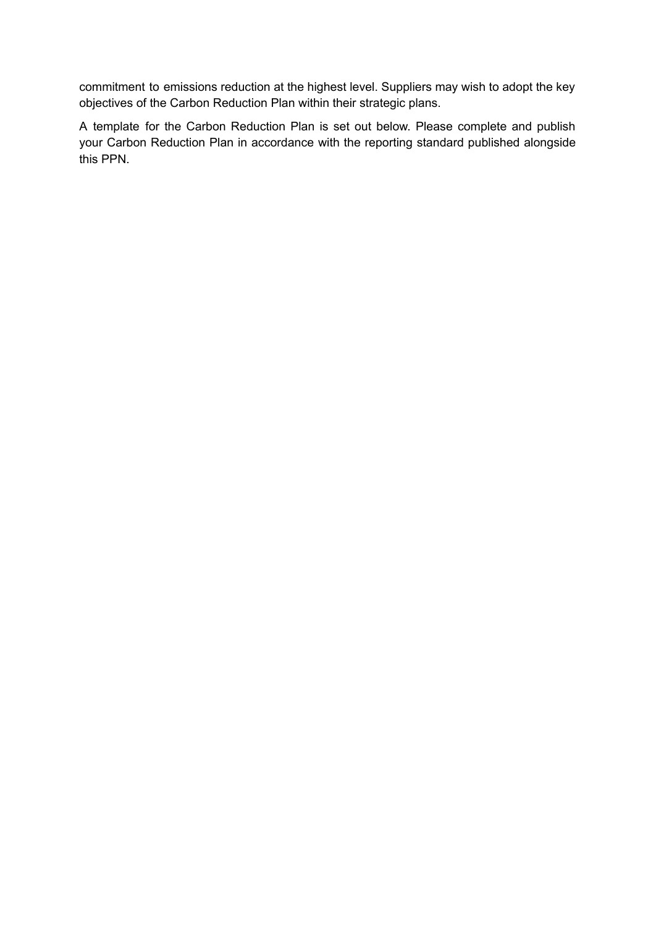commitment to emissions reduction at the highest level. Suppliers may wish to adopt the key objectives of the Carbon Reduction Plan within their strategic plans.

A template for the Carbon Reduction Plan is set out below. Please complete and publish your Carbon Reduction Plan in accordance with the reporting standard published alongside this PPN.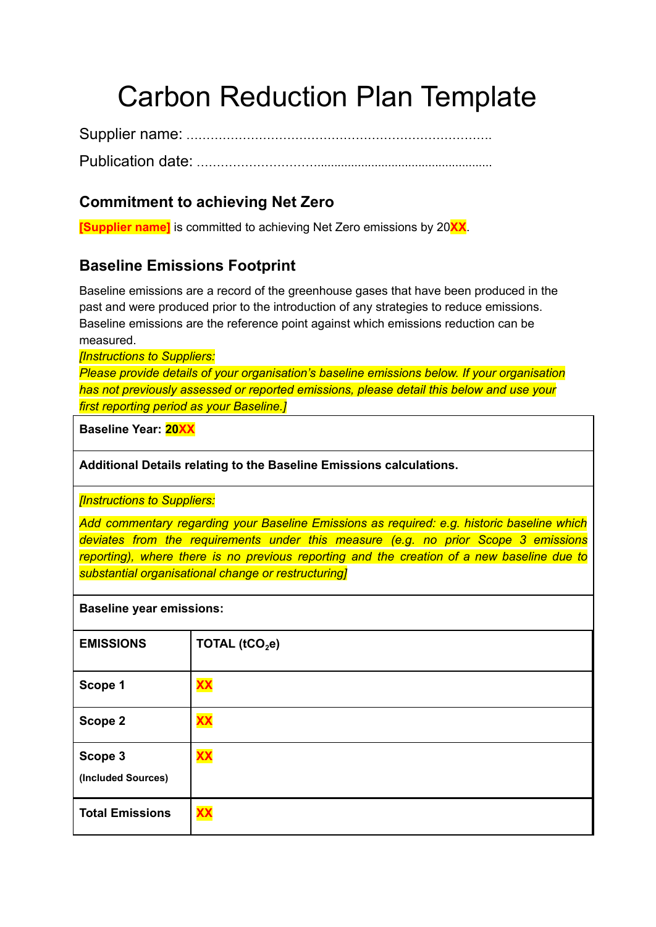# Carbon Reduction Plan Template

Supplier name: …………………………………………………………………. Publication date: …………………………....................................................

## **Commitment to achieving Net Zero**

**[Supplier name]** is committed to achieving Net Zero emissions by 20**XX**.

## **Baseline Emissions Footprint**

Baseline emissions are a record of the greenhouse gases that have been produced in the past and were produced prior to the introduction of any strategies to reduce emissions. Baseline emissions are the reference point against which emissions reduction can be measured.

*[Instructions to Suppliers:*

*Please provide details of your organisation's baseline emissions below. If your organisation has not previously assessed or reported emissions, please detail this below and use your first reporting period as your Baseline.]*

**Baseline Year: 20XX**

**Additional Details relating to the Baseline Emissions calculations.**

*[Instructions to Suppliers:*

*Add commentary regarding your Baseline Emissions as required: e.g. historic baseline which deviates from the requirements under this measure (e.g. no prior Scope 3 emissions reporting), where there is no previous reporting and the creation of a new baseline due to substantial organisational change or restructuring]*

#### **Baseline year emissions:**

| <b>EMISSIONS</b>              | TOTAL ( $tCO2e$ ) |
|-------------------------------|-------------------|
| Scope 1                       | <b>XX</b>         |
| Scope 2                       | <b>XX</b>         |
| Scope 3<br>(Included Sources) | <b>XX</b>         |
| <b>Total Emissions</b>        | <b>XX</b>         |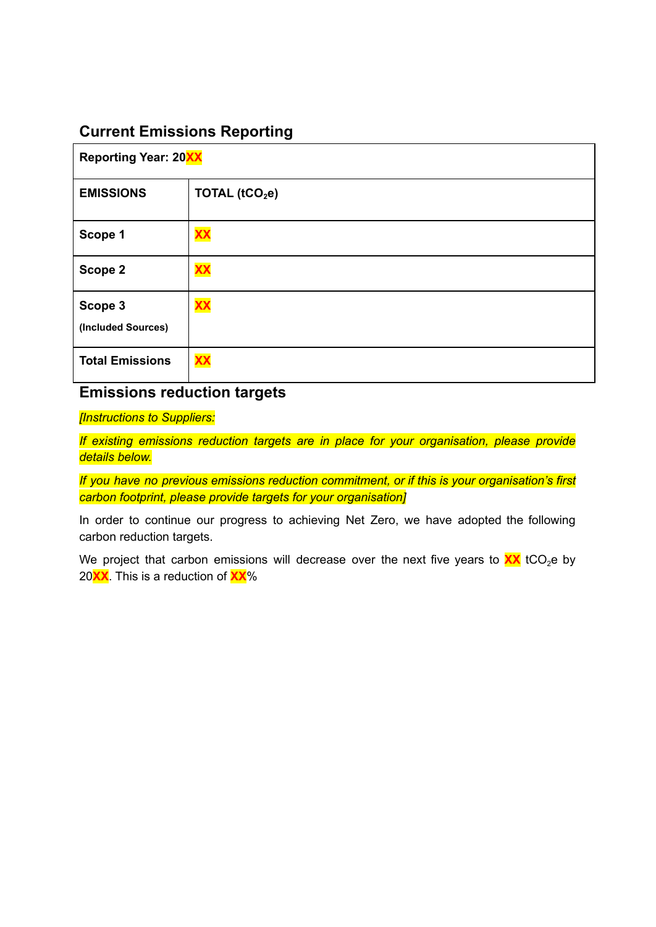## **Current Emissions Reporting**

| <b>Reporting Year: 20XX</b>   |                   |  |
|-------------------------------|-------------------|--|
| <b>EMISSIONS</b>              | TOTAL ( $tCO2e$ ) |  |
| Scope 1                       | <b>XX</b>         |  |
| Scope 2                       | <b>XX</b>         |  |
| Scope 3<br>(Included Sources) | <b>XX</b>         |  |
| <b>Total Emissions</b>        | <b>XX</b>         |  |

## **Emissions reduction targets**

*[Instructions to Suppliers:*

*If existing emissions reduction targets are in place for your organisation, please provide details below.*

*If you have no previous emissions reduction commitment, or if this is your organisation's first carbon footprint, please provide targets for your organisation]*

In order to continue our progress to achieving Net Zero, we have adopted the following carbon reduction targets.

We project that carbon emissions will decrease over the next five years to  $\frac{XX}{XX}$  tCO<sub>2</sub>e by 20**XX**. This is a reduction of **XX**%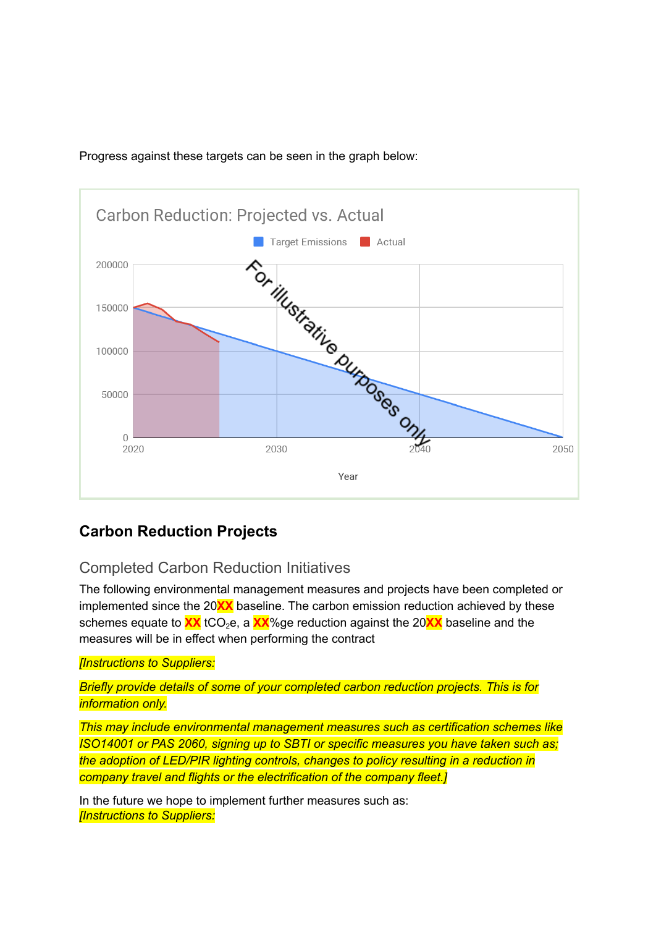#### Progress against these targets can be seen in the graph below:



## **Carbon Reduction Projects**

## Completed Carbon Reduction Initiatives

The following environmental management measures and projects have been completed or implemented since the 20**XX** baseline. The carbon emission reduction achieved by these schemes equate to **XX** tCO<sub>2</sub>e, a **XX**%ge reduction against the 20XX baseline and the measures will be in effect when performing the contract

#### *[Instructions to Suppliers:*

*Briefly provide details of some of your completed carbon reduction projects. This is for information only.*

*This may include environmental management measures such as certification schemes like ISO14001 or PAS 2060, signing up to SBTI or specific measures you have taken such as; the adoption of LED/PIR lighting controls, changes to policy resulting in a reduction in company travel and flights or the electrification of the company fleet.]*

In the future we hope to implement further measures such as: *[Instructions to Suppliers:*